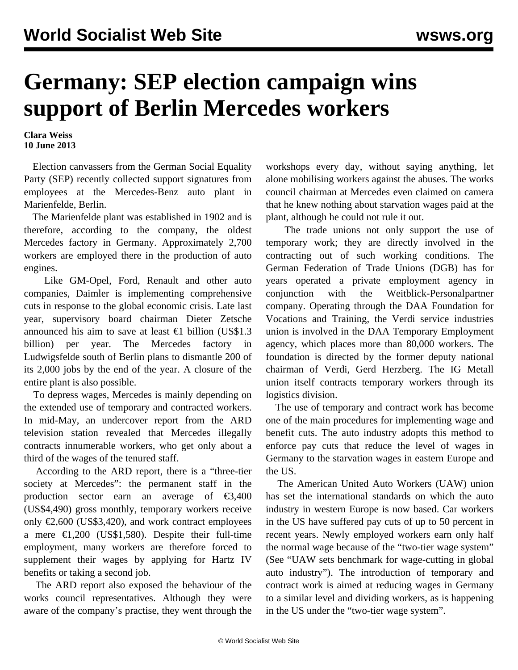## **Germany: SEP election campaign wins support of Berlin Mercedes workers**

**Clara Weiss 10 June 2013**

 Election canvassers from the German Social Equality Party (SEP) recently collected support signatures from employees at the Mercedes-Benz auto plant in Marienfelde, Berlin.

 The Marienfelde plant was established in 1902 and is therefore, according to the company, the oldest Mercedes factory in Germany. Approximately 2,700 workers are employed there in the production of auto engines.

 Like GM-Opel, Ford, Renault and other auto companies, Daimler is implementing comprehensive cuts in response to the global economic crisis. Late last year, supervisory board chairman Dieter Zetsche announced his aim to save at least  $\epsilon$ 1 billion (US\$1.3) billion) per year. The Mercedes factory in Ludwigsfelde south of Berlin plans to dismantle 200 of its 2,000 jobs by the end of the year. A closure of the entire plant is also possible.

 To depress wages, Mercedes is mainly depending on the extended use of temporary and contracted workers. In mid-May, an undercover report from the ARD television station revealed that Mercedes illegally contracts innumerable workers, who get only about a third of the wages of the tenured staff.

 According to the ARD report, there is a "three-tier society at Mercedes": the permanent staff in the production sector earn an average of  $\epsilon$ 3,400 (US\$4,490) gross monthly, temporary workers receive only  $\epsilon$ 2,600 (US\$3,420), and work contract employees a mere  $\epsilon$ 1,200 (US\$1,580). Despite their full-time employment, many workers are therefore forced to supplement their wages by applying for Hartz IV benefits or taking a second job.

 The ARD report also exposed the behaviour of the works council representatives. Although they were aware of the company's practise, they went through the workshops every day, without saying anything, let alone mobilising workers against the abuses. The works council chairman at Mercedes even claimed on camera that he knew nothing about starvation wages paid at the plant, although he could not rule it out.

 The trade unions not only support the use of temporary work; they are directly involved in the contracting out of such working conditions. The German Federation of Trade Unions (DGB) has for years operated a private employment agency in conjunction with the Weitblick-Personalpartner company. Operating through the DAA Foundation for Vocations and Training, the Verdi service industries union is involved in the DAA Temporary Employment agency, which places more than 80,000 workers. The foundation is directed by the former deputy national chairman of Verdi, Gerd Herzberg. The IG Metall union itself contracts temporary workers through its logistics division.

 The use of temporary and contract work has become one of the main procedures for implementing wage and benefit cuts. The auto industry adopts this method to enforce pay cuts that reduce the level of wages in Germany to the starvation wages in eastern Europe and the US.

 The American United Auto Workers (UAW) union has set the international standards on which the auto industry in western Europe is now based. Car workers in the US have suffered pay cuts of up to 50 percent in recent years. Newly employed workers earn only half the normal wage because of the "two-tier wage system" (See "[UAW sets benchmark for wage-cutting in global](/en/articles/2011/04/pers-a25.html) [auto industry"](/en/articles/2011/04/pers-a25.html)). The introduction of temporary and contract work is aimed at reducing wages in Germany to a similar level and dividing workers, as is happening in the US under the "two-tier wage system".